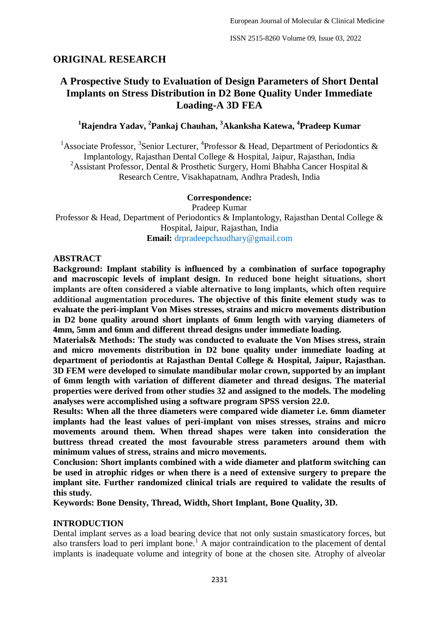# **ORIGINAL RESEARCH**

# **A Prospective Study to Evaluation of Design Parameters of Short Dental Implants on Stress Distribution in D2 Bone Quality Under Immediate Loading-A 3D FEA**

# **<sup>1</sup>Rajendra Yadav, <sup>2</sup> Pankaj Chauhan, <sup>3</sup>Akanksha Katewa, <sup>4</sup> Pradeep Kumar**

<sup>1</sup> Associate Professor, <sup>3</sup> Senior Lecturer, <sup>4</sup> Professor & Head, Department of Periodontics & Implantology, Rajasthan Dental College & Hospital, Jaipur, Rajasthan, India <sup>2</sup>Assistant Professor, Dental & Prosthetic Surgery, Homi Bhabha Cancer Hospital & Research Centre, Visakhapatnam, Andhra Pradesh, India

## **Correspondence:**

Pradeep Kumar Professor & Head, Department of Periodontics & Implantology, Rajasthan Dental College & Hospital, Jaipur, Rajasthan, India **Email:** drpradeepchaudhary@gmail.com

## **ABSTRACT**

**Background: Implant stability is influenced by a combination of surface topography and macroscopic levels of implant design. In reduced bone height situations, short implants are often considered a viable alternative to long implants, which often require additional augmentation procedures. The objective of this finite element study was to evaluate the peri-implant Von Mises stresses, strains and micro movements distribution in D2 bone quality around short implants of 6mm length with varying diameters of 4mm, 5mm and 6mm and different thread designs under immediate loading.**

**Materials& Methods: The study was conducted to evaluate the Von Mises stress, strain and micro movements distribution in D2 bone quality under immediate loading at department of periodontis at Rajasthan Dental College & Hospital, Jaipur, Rajasthan. 3D FEM were developed to simulate mandibular molar crown, supported by an implant of 6mm length with variation of different diameter and thread designs. The material properties were derived from other studies 32 and assigned to the models. The modeling analyses were accomplished using a software program SPSS version 22.0.**

**Results: When all the three diameters were compared wide diameter i.e. 6mm diameter implants had the least values of peri-implant von mises stresses, strains and micro movements around them. When thread shapes were taken into consideration the buttress thread created the most favourable stress parameters around them with minimum values of stress, strains and micro movements.**

**Conclusion: Short implants combined with a wide diameter and platform switching can be used in atrophic ridges or when there is a need of extensive surgery to prepare the implant site. Further randomized clinical trials are required to validate the results of this study.**

**Keywords: Bone Density, Thread, Width, Short Implant, Bone Quality, 3D.**

# **INTRODUCTION**

Dental implant serves as a load bearing device that not only sustain smasticatory forces, but also transfers load to peri implant bone.<sup>1</sup> A major contraindication to the placement of dental implants is inadequate volume and integrity of bone at the chosen site. Atrophy of alveolar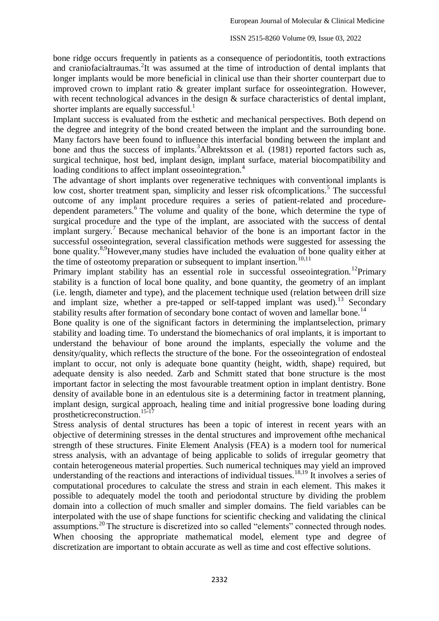bone ridge occurs frequently in patients as a consequence of periodontitis, tooth extractions and craniofacialtraumas.<sup>2</sup>It was assumed at the time of introduction of dental implants that longer implants would be more beneficial in clinical use than their shorter counterpart due to improved crown to implant ratio & greater implant surface for osseointegration. However, with recent technological advances in the design  $\&$  surface characteristics of dental implant, shorter implants are equally successful.<sup>1</sup>

Implant success is evaluated from the esthetic and mechanical perspectives. Both depend on the degree and integrity of the bond created between the implant and the surrounding bone. Many factors have been found to influence this interfacial bonding between the implant and bone and thus the success of implants.<sup>3</sup>Albrektsson et al. (1981) reported factors such as, surgical technique, host bed, implant design, implant surface, material biocompatibility and loading conditions to affect implant osseointegration.<sup>4</sup>

The advantage of short implants over regenerative techniques with conventional implants is low cost, shorter treatment span, simplicity and lesser risk of complications.<sup>5</sup> The successful outcome of any implant procedure requires a series of patient-related and proceduredependent parameters.<sup>6</sup> The volume and quality of the bone, which determine the type of surgical procedure and the type of the implant, are associated with the success of dental implant surgery.<sup>7</sup> Because mechanical behavior of the bone is an important factor in the successful osseointegration, several classification methods were suggested for assessing the bone quality.<sup>8,9</sup>However,many studies have included the evaluation of bone quality either at the time of osteotomy preparation or subsequent to implant insertion.<sup>10,11</sup>

Primary implant stability has an essential role in successful osseointegration.<sup>12</sup>Primary stability is a function of local bone quality, and bone quantity, the geometry of an implant (i.e. length, diameter and type), and the placement technique used (relation between drill size and implant size, whether a pre-tapped or self-tapped implant was used).<sup>13</sup> Secondary stability results after formation of secondary bone contact of woven and lamellar bone.<sup>14</sup>

Bone quality is one of the significant factors in determining the implantselection, primary stability and loading time. To understand the biomechanics of oral implants, it is important to understand the behaviour of bone around the implants, especially the volume and the density/quality, which reflects the structure of the bone. For the osseointegration of endosteal implant to occur, not only is adequate bone quantity (height, width, shape) required, but adequate density is also needed. Zarb and Schmitt stated that bone structure is the most important factor in selecting the most favourable treatment option in implant dentistry. Bone density of available bone in an edentulous site is a determining factor in treatment planning, implant design, surgical approach, healing time and initial progressive bone loading during prostheticreconstruction. 15-17

Stress analysis of dental structures has been a topic of interest in recent years with an objective of determining stresses in the dental structures and improvement ofthe mechanical strength of these structures. Finite Element Analysis (FEA) is a modern tool for numerical stress analysis, with an advantage of being applicable to solids of irregular geometry that contain heterogeneous material properties. Such numerical techniques may yield an improved understanding of the reactions and interactions of individual tissues.<sup>18,19</sup> It involves a series of computational procedures to calculate the stress and strain in each element. This makes it possible to adequately model the tooth and periodontal structure by dividing the problem domain into a collection of much smaller and simpler domains. The field variables can be interpolated with the use of shape functions for scientific checking and validating the clinical assumptions.<sup>20</sup> The structure is discretized into so called "elements" connected through nodes. When choosing the appropriate mathematical model, element type and degree of discretization are important to obtain accurate as well as time and cost effective solutions.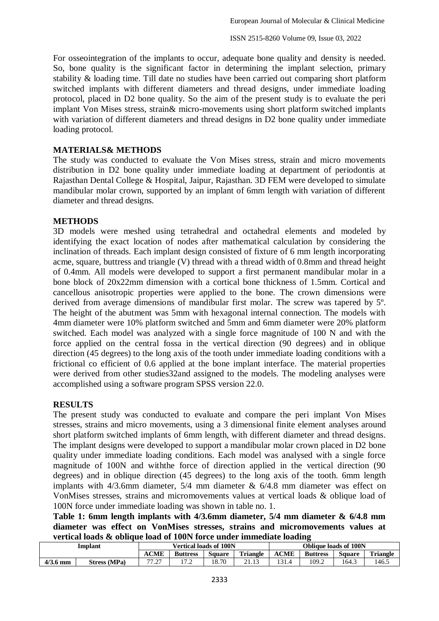For osseointegration of the implants to occur, adequate bone quality and density is needed. So, bone quality is the significant factor in determining the implant selection, primary stability & loading time. Till date no studies have been carried out comparing short platform switched implants with different diameters and thread designs, under immediate loading protocol, placed in D2 bone quality. So the aim of the present study is to evaluate the peri implant Von Mises stress, strain& micro-movements using short platform switched implants with variation of different diameters and thread designs in D2 bone quality under immediate loading protocol.

## **MATERIALS& METHODS**

The study was conducted to evaluate the Von Mises stress, strain and micro movements distribution in D2 bone quality under immediate loading at department of periodontis at Rajasthan Dental College & Hospital, Jaipur, Rajasthan. 3D FEM were developed to simulate mandibular molar crown, supported by an implant of 6mm length with variation of different diameter and thread designs.

### **METHODS**

3D models were meshed using tetrahedral and octahedral elements and modeled by identifying the exact location of nodes after mathematical calculation by considering the inclination of threads. Each implant design consisted of fixture of 6 mm length incorporating acme, square, buttress and triangle (V) thread with a thread width of 0.8mm and thread height of 0.4mm. All models were developed to support a first permanent mandibular molar in a bone block of 20x22mm dimension with a cortical bone thickness of 1.5mm. Cortical and cancellous anisotropic properties were applied to the bone. The crown dimensions were derived from average dimensions of mandibular first molar. The screw was tapered by 5º. The height of the abutment was 5mm with hexagonal internal connection. The models with 4mm diameter were 10% platform switched and 5mm and 6mm diameter were 20% platform switched. Each model was analyzed with a single force magnitude of 100 N and with the force applied on the central fossa in the vertical direction (90 degrees) and in oblique direction (45 degrees) to the long axis of the tooth under immediate loading conditions with a frictional co efficient of 0.6 applied at the bone implant interface. The material properties were derived from other studies32and assigned to the models. The modeling analyses were accomplished using a software program SPSS version 22.0.

### **RESULTS**

The present study was conducted to evaluate and compare the peri implant Von Mises stresses, strains and micro movements, using a 3 dimensional finite element analyses around short platform switched implants of 6mm length, with different diameter and thread designs. The implant designs were developed to support a mandibular molar crown placed in D2 bone quality under immediate loading conditions. Each model was analysed with a single force magnitude of 100N and withthe force of direction applied in the vertical direction (90 degrees) and in oblique direction (45 degrees) to the long axis of the tooth. 6mm length implants with  $4/3.6$ mm diameter,  $5/4$  mm diameter &  $6/4.8$  mm diameter was effect on VonMises stresses, strains and micromovements values at vertical loads & oblique load of 100N force under immediate loading was shown in table no. 1.

**Table 1: 6mm length implants with 4/3.6mm diameter, 5/4 mm diameter & 6/4.8 mm diameter was effect on VonMises stresses, strains and micromovements values at vertical loads & oblique load of 100N force under immediate loading**

| <b>Implant</b> |                     | <b>Vertical loads of 100N</b> |                 |        |                 | <b>Oblique loads of 100N</b> |                 |               |                 |
|----------------|---------------------|-------------------------------|-----------------|--------|-----------------|------------------------------|-----------------|---------------|-----------------|
|                |                     | <b>ACME</b>                   | <b>Buttress</b> | Square | <b>Triangle</b> | <b>ACME</b>                  | <b>Buttress</b> | <b>Square</b> | <b>Triangle</b> |
| $4/3.6$ mm     | <b>Stress (MPa)</b> | 77.27                         |                 | 18.70  |                 | 121.                         | 109.2           | 164.3         | 146.5           |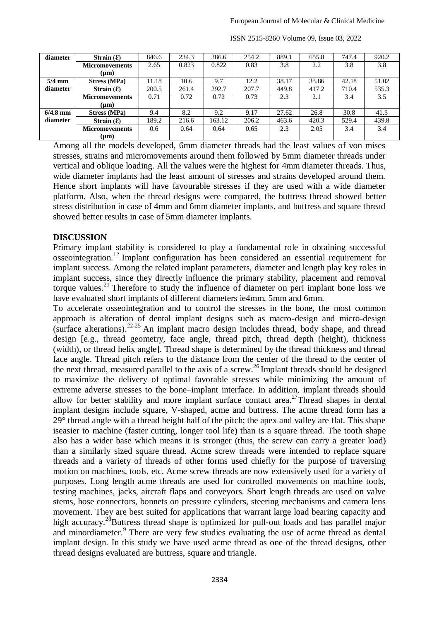| diameter   | Strain $(E)$          | 846.6 | 234.3 | 386.6  | 254.2 | 889.1 | 655.8 | 747.4 | 920.2 |
|------------|-----------------------|-------|-------|--------|-------|-------|-------|-------|-------|
|            | <b>Micromovements</b> | 2.65  | 0.823 | 0.822  | 0.83  | 3.8   | 2.2   | 3.8   | 3.8   |
|            | $(\mu m)$             |       |       |        |       |       |       |       |       |
| $5/4$ mm   | Stress (MPa)          | 11.18 | 10.6  | 9.7    | 12.2  | 38.17 | 33.86 | 42.18 | 51.02 |
| diameter   | Strain $(E)$          | 200.5 | 261.4 | 292.7  | 207.7 | 449.8 | 417.2 | 710.4 | 535.3 |
|            | <b>Micromovements</b> | 0.71  | 0.72  | 0.72   | 0.73  | 2.3   | 2.1   | 3.4   | 3.5   |
|            | $(\mu m)$             |       |       |        |       |       |       |       |       |
| $6/4.8$ mm | <b>Stress (MPa)</b>   | 9.4   | 8.2   | 9.2    | 9.17  | 27.62 | 26.8  | 30.8  | 41.3  |
| diameter   | Strain $(E)$          | 189.2 | 216.6 | 163.12 | 206.2 | 463.6 | 420.3 | 529.4 | 439.8 |
|            | <b>Micromovements</b> | 0.6   | 0.64  | 0.64   | 0.65  | 2.3   | 2.05  | 3.4   | 3.4   |
|            | (µm)                  |       |       |        |       |       |       |       |       |

ISSN 2515-8260 Volume 09, Issue 03, 2022

Among all the models developed, 6mm diameter threads had the least values of von mises stresses, strains and micromovements around them followed by 5mm diameter threads under vertical and oblique loading. All the values were the highest for 4mm diameter threads. Thus, wide diameter implants had the least amount of stresses and strains developed around them. Hence short implants will have favourable stresses if they are used with a wide diameter platform. Also, when the thread designs were compared, the buttress thread showed better stress distribution in case of 4mm and 6mm diameter implants, and buttress and square thread showed better results in case of 5mm diameter implants.

#### **DISCUSSION**

Primary implant stability is considered to play a fundamental role in obtaining successful  $\alpha$ osseointegration.<sup>12</sup> Implant configuration has been considered an essential requirement for implant success. Among the related implant parameters, diameter and length play key roles in implant success, since they directly influence the primary stability, placement and removal torque values.<sup>21</sup> Therefore to study the influence of diameter on peri implant bone loss we have evaluated short implants of different diameters ie4mm, 5mm and 6mm.

To accelerate osseointegration and to control the stresses in the bone, the most common approach is alteration of dental implant designs such as macro-design and micro-design (surface alterations). $22-25$  An implant macro design includes thread, body shape, and thread design [e.g., thread geometry, face angle, thread pitch, thread depth (height), thickness (width), or thread helix angle]. Thread shape is determined by the thread thickness and thread face angle. Thread pitch refers to the distance from the center of the thread to the center of the next thread, measured parallel to the axis of a screw.<sup>26</sup> Implant threads should be designed to maximize the delivery of optimal favorable stresses while minimizing the amount of extreme adverse stresses to the bone–implant interface. In addition, implant threads should allow for better stability and more implant surface contact area.<sup>27</sup>Thread shapes in dental implant designs include square, V-shaped, acme and buttress. The acme thread form has a 29° thread angle with a thread height half of the pitch; the apex and valley are flat. This shape iseasier to machine (faster cutting, longer tool life) than is a square thread. The tooth shape also has a wider base which means it is stronger (thus, the screw can carry a greater load) than a similarly sized square thread. Acme screw threads were intended to replace square threads and a variety of threads of other forms used chiefly for the purpose of traversing motion on machines, tools, etc. Acme screw threads are now extensively used for a variety of purposes. Long length acme threads are used for controlled movements on machine tools, testing machines, jacks, aircraft flaps and conveyors. Short length threads are used on valve stems, hose connectors, bonnets on pressure cylinders, steering mechanisms and camera lens movement. They are best suited for applications that warrant large load bearing capacity and high accuracy.<sup>28</sup>Buttress thread shape is optimized for pull-out loads and has parallel major and minordiameter.<sup>9</sup> There are very few studies evaluating the use of acme thread as dental implant design. In this study we have used acme thread as one of the thread designs, other thread designs evaluated are buttress, square and triangle.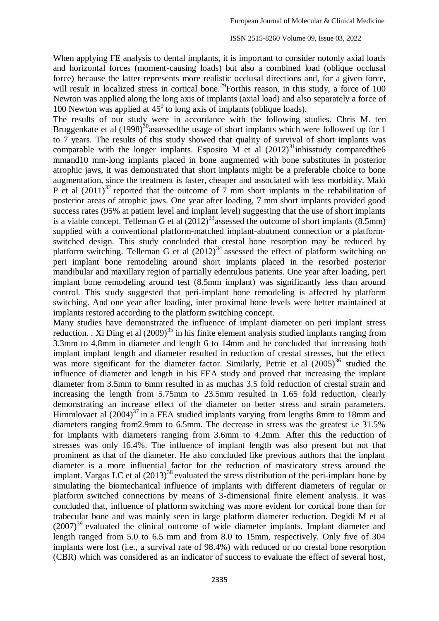When applying FE analysis to dental implants, it is important to consider notonly axial loads and horizontal forces (moment-causing loads) but also a combined load (oblique occlusal force) because the latter represents more realistic occlusal directions and, for a given force, will result in localized stress in cortical bone.<sup>29</sup>Forthis reason, in this study, a force of 100 Newton was applied along the long axis of implants (axial load) and also separately a force of 100 Newton was applied at  $45^{\circ}$  to long axis of implants (oblique loads).

The results of our study were in accordance with the following studies. Chris M. ten Bruggenkate et al  $(1998)^{30}$  assessed the usage of short implants which were followed up for 1 to 7 years. The results of this study showed that quality of survival of short implants was comparable with the longer implants. Esposito M et al  $(2012)^{31}$ inhisstudy comparedthe6 mmand10 mm-long implants placed in bone augmented with bone substitutes in posterior atrophic jaws, it was demonstrated that short implants might be a preferable choice to bone augmentation, since the treatment is faster, cheaper and associated with less morbidity. Maló P et al  $(2011)^{32}$  reported that the outcome of 7 mm short implants in the rehabilitation of posterior areas of atrophic jaws. One year after loading, 7 mm short implants provided good success rates (95% at patient level and implant level) suggesting that the use of short implants is a viable concept. Telleman G et al  $(2012)^{33}$  assessed the outcome of short implants (8.5mm) supplied with a conventional platform-matched implant-abutment connection or a platformswitched design. This study concluded that crestal bone resorption may be reduced by platform switching. Telleman G et al  $(2012)^{34}$  assessed the effect of platform switching on peri implant bone remodeling around short implants placed in the resorbed posterior mandibular and maxillary region of partially edentulous patients. One year after loading, peri implant bone remodeling around test (8.5mm implant) was significantly less than around control. This study suggested that peri-implant bone remodeling is affected by platform switching. And one year after loading, inter proximal bone levels were better maintained at implants restored according to the platform switching concept.

Many studies have demonstrated the influence of implant diameter on peri implant stress reduction. . Xi Ding et al  $(2009)^{35}$  in his finite element analysis studied implants ranging from 3.3mm to 4.8mm in diameter and length 6 to 14mm and he concluded that increasing both implant implant length and diameter resulted in reduction of crestal stresses, but the effect was more significant for the diameter factor. Similarly, Petrie et al  $(2005)^{36}$  studied the influence of diameter and length in his FEA study and proved that increasing the implant diameter from 3.5mm to 6mm resulted in as muchas 3.5 fold reduction of crestal strain and increasing the length from 5.75mm to 23.5mm resulted in 1.65 fold reduction, clearly demonstrating an increase effect of the diameter on better stress and strain parameters. Himmlovaet al  $(2004)^{37}$  in a FEA studied implants varying from lengths 8mm to 18mm and diameters ranging from2.9mm to 6.5mm. The decrease in stress was the greatest i.e 31.5% for implants with diameters ranging from 3.6mm to 4.2mm. After this the reduction of stresses was only 16.4%. The influence of implant length was also present but not that prominent as that of the diameter. He also concluded like previous authors that the implant diameter is a more influential factor for the reduction of masticatory stress around the implant. Vargas LC et al  $(2013)^{38}$  evaluated the stress distribution of the peri-implant bone by simulating the biomechanical influence of implants with different diameters of regular or platform switched connections by means of 3-dimensional finite element analysis. It was concluded that, influence of platform switching was more evident for cortical bone than for trabecular bone and was mainly seen in large platform diameter reduction. Degidi M et al  $(2007)^{39}$  evaluated the clinical outcome of wide diameter implants. Implant diameter and length ranged from 5.0 to 6.5 mm and from 8.0 to 15mm, respectively. Only five of 304 implants were lost (i.e., a survival rate of 98.4%) with reduced or no crestal bone resorption (CBR) which was considered as an indicator of success to evaluate the effect of several host,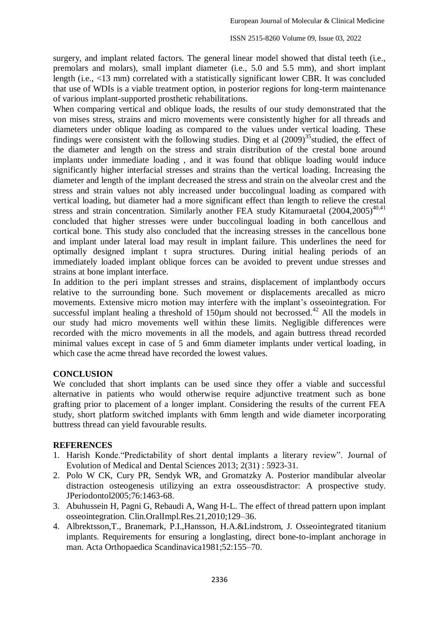surgery, and implant related factors. The general linear model showed that distal teeth (i.e., premolars and molars), small implant diameter (i.e., 5.0 and 5.5 mm), and short implant length (i.e., <13 mm) correlated with a statistically significant lower CBR. It was concluded that use of WDIs is a viable treatment option, in posterior regions for long-term maintenance of various implant-supported prosthetic rehabilitations.

When comparing vertical and oblique loads, the results of our study demonstrated that the von mises stress, strains and micro movements were consistently higher for all threads and diameters under oblique loading as compared to the values under vertical loading. These findings were consistent with the following studies. Ding et al  $(2009)^{35}$  studied, the effect of the diameter and length on the stress and strain distribution of the crestal bone around implants under immediate loading , and it was found that oblique loading would induce significantly higher interfacial stresses and strains than the vertical loading. Increasing the diameter and length of the implant decreased the stress and strain on the alveolar crest and the stress and strain values not ably increased under buccolingual loading as compared with vertical loading, but diameter had a more significant effect than length to relieve the crestal stress and strain concentration. Similarly another FEA study Kitamuraetal  $(2004,2005)^{40,41}$ concluded that higher stresses were under buccolingual loading in both cancellous and cortical bone. This study also concluded that the increasing stresses in the cancellous bone and implant under lateral load may result in implant failure. This underlines the need for optimally designed implant t supra structures. During initial healing periods of an immediately loaded implant oblique forces can be avoided to prevent undue stresses and strains at bone implant interface.

In addition to the peri implant stresses and strains, displacement of implantbody occurs relative to the surrounding bone. Such movement or displacements arecalled as micro movements. Extensive micro motion may interfere with the implant's osseointegration. For successful implant healing a threshold of  $150\mu$ m should not becrossed.<sup>42</sup> All the models in our study had micro movements well within these limits. Negligible differences were recorded with the micro movements in all the models, and again buttress thread recorded minimal values except in case of 5 and 6mm diameter implants under vertical loading, in which case the acme thread have recorded the lowest values.

# **CONCLUSION**

We concluded that short implants can be used since they offer a viable and successful alternative in patients who would otherwise require adjunctive treatment such as bone grafting prior to placement of a longer implant. Considering the results of the current FEA study, short platform switched implants with 6mm length and wide diameter incorporating buttress thread can yield favourable results.

### **REFERENCES**

- 1. Harish Konde. "Predictability of short dental implants a literary review". Journal of Evolution of Medical and Dental Sciences 2013; 2(31) : 5923-31.
- 2. Polo W CK, Cury PR, Sendyk WR, and Gromatzky A. Posterior mandibular alveolar distraction osteogenesis utilizying an extra osseousdistractor: A prospective study. JPeriodontol2005;76:1463-68.
- 3. Abuhussein H, Pagni G, Rebaudi A, Wang H-L. The effect of thread pattern upon implant osseointegration. Clin.OralImpl.Res.21,2010;129–36.
- 4. Albrektsson,T., Branemark, P.I.,Hansson, H.A.&Lindstrom, J. Osseointegrated titanium implants. Requirements for ensuring a longlasting, direct bone-to-implant anchorage in man. Acta Orthopaedica Scandinavica1981;52:155–70.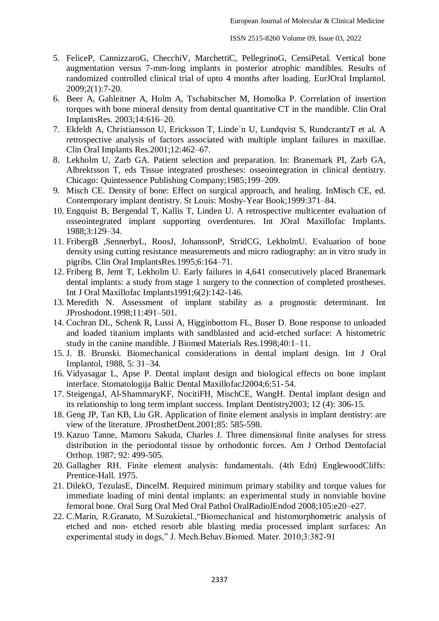- 5. FeliceP, CannizzaroG, ChecchiV, MarchettiC, PellegrinoG, CensiPetal. Vertical bone augmentation versus 7-mm-long implants in posterior atrophic mandibles. Results of randomized controlled clinical trial of upto 4 months after loading. EurJOral Implantol. 2009;2(1):7-20.
- 6. Beer A, Gahleitner A, Holm A, Tschabitscher M, Homolka P. Correlation of insertion torques with bone mineral density from dental quantitative CT in the mandible. Clin Oral ImplantsRes. 2003;14:616–20.
- 7. Ekfeldt A, Christiansson U, Ericksson T, Linde´n U, Lundqvist S, RundcrantzT et al. A retrospective analysis of factors associated with multiple implant failures in maxillae. Clin Oral Implants Res.2001;12:462–67.
- 8. Lekholm U, Zarb GA. Patient selection and preparation. In: Branemark PI, Zarb GA, Albrektsson T, eds Tissue integrated prostheses: osseointegration in clinical dentistry. Chicago: Quintessence Publishing Company;1985;199–209.
- 9. Misch CE. Density of bone: Effect on surgical approach, and healing. InMisch CE, ed. Contemporary implant dentistry. St Louis: Mosby-Year Book;1999:371–84.
- 10. Engquist B, Bergendal T, Kallis T, Linden U. A retrospective multicenter evaluation of osseointegrated implant supporting overdentures. Int JOral Maxillofac Implants. 1988;3:129–34.
- 11. FribergB ,SennerbyL, RoosJ, JohanssonP, StridCG, LekholmU. Evaluation of bone density using cutting resistance measurements and micro radiography: an in vitro study in pigribs. Clin Oral ImplantsRes.1995;6:164–71.
- 12. Friberg B, Jemt T, Lekholm U. Early failures in 4,641 consecutively placed Branemark dental implants: a study from stage 1 surgery to the connection of completed prostheses. Int J Oral Maxillofac Implants1991;6(2):142-146.
- 13. Meredith N. Assessment of implant stability as a prognostic determinant. Int JProshodont.1998;11:491–501.
- 14. Cochran DL, Schenk R, Lussi A, Higginbottom FL, Buser D. Bone response to unloaded and loaded titanium implants with sandblasted and acid-etched surface: A histometric study in the canine mandible. J Biomed Materials Res.1998;40:1–11.
- 15. J. B. Brunski. Biomechanical considerations in dental implant design. Int J Oral Implantol, 1988, 5: 31–34.
- 16. Vidyasagar L, Apse P. Dental implant design and biological effects on bone implant interface. Stomatologija Baltic Dental MaxillofacJ2004;6:51- 54.
- 17. SteigengaJ, Al-ShammaryKF, NocitiFH, MischCE, WangH. Dental implant design and its relationship to long term implant success. Implant Dentistry2003; 12 (4): 306-15.
- 18. Geng JP, Tan KB, Liu GR. Application of finite element analysis in implant dentistry: are view of the literature. JProsthetDent.2001;85: 585-598.
- 19. Kazuo Tanne, Mamoru Sakuda, Charles J. Three dimensional finite analyses for stress distribution in the periodontal tissue by orthodontic forces. Am J Orthod Dentofacial Orthop. 1987; 92: 499-505.
- 20. Gallagher RH. Finite element analysis: fundamentals. (4th Edn) EnglewoodCliffs: Prentice-Hall. 1975.
- 21. DilekO, TezulasE, DincelM. Required minimum primary stability and torque values for immediate loading of mini dental implants: an experimental study in nonviable bovine femoral bone. Oral Surg Oral Med Oral Pathol OralRadiolEndod 2008;105:e20–e27.
- 22. C.Marin, R.Granato, M.Suzukietal., "Biomechanical and histomorphometric analysis of etched and non- etched resorb able blasting media processed implant surfaces: An experimental study in dogs," J. Mech.Behav.Biomed. Mater. 2010;3:382-91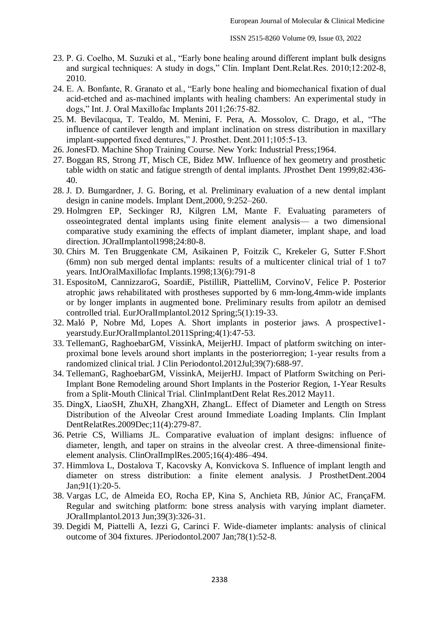- 23. P. G. Coelho, M. Suzuki et al., "Early bone healing around different implant bulk designs and surgical techniques: A study in dogs," Clin. Implant Dent.Relat.Res. 2010;12:202-8, 2010.
- 24. E. A. Bonfante, R. Granato et al., "Early bone healing and biomechanical fixation of dual acid-etched and as-machined implants with healing chambers: An experimental study in dogs," Int. J. Oral Maxillofac Implants 2011;26:75-82.
- 25. M. Bevilacqua, T. Tealdo, M. Menini, F. Pera, A. Mossolov, C. Drago, et al., "The influence of cantilever length and implant inclination on stress distribution in maxillary implant-supported fixed dentures," J. Prosthet. Dent.2011;105:5-13.
- 26. JonesFD. Machine Shop Training Course. New York: Industrial Press;1964.
- 27. Boggan RS, Strong JT, Misch CE, Bidez MW. Influence of hex geometry and prosthetic table width on static and fatigue strength of dental implants. JProsthet Dent 1999;82:436- 40.
- 28. J. D. Bumgardner, J. G. Boring, et al. Preliminary evaluation of a new dental implant design in canine models. Implant Dent,2000, 9:252–260.
- 29. Holmgren EP, Seckinger RJ, Kilgren LM, Mante F. Evaluating parameters of osseointegrated dental implants using finite element analysis— a two dimensional comparative study examining the effects of implant diameter, implant shape, and load direction. JOralImplantol1998;24:80-8.
- 30. Chirs M. Ten Bruggenkate CM, Asikainen P, Foitzik C, Krekeler G, Sutter F.Short (6mm) non sub merged dental implants: results of a multicenter clinical trial of 1 to7 years. IntJOralMaxillofac Implants.1998;13(6):791-8
- 31. EspositoM, CannizzaroG, SoardiE, PistilliR, PiattelliM, CorvinoV, Felice P. Posterior atrophic jaws rehabilitated with prostheses supported by 6 mm-long,4mm-wide implants or by longer implants in augmented bone. Preliminary results from apilotr an demised controlled trial. EurJOralImplantol.2012 Spring;5(1):19-33.
- 32. Maló P, Nobre Md, Lopes A. Short implants in posterior jaws. A prospective1 yearstudy.EurJOralImplantol.2011Spring;4(1):47-53.
- 33. TellemanG, RaghoebarGM, VissinkA, MeijerHJ. Impact of platform switching on interproximal bone levels around short implants in the posteriorregion; 1-year results from a randomized clinical trial. J Clin Periodontol.2012Jul;39(7):688-97.
- 34. TellemanG, RaghoebarGM, VissinkA, MeijerHJ. Impact of Platform Switching on Peri-Implant Bone Remodeling around Short Implants in the Posterior Region, 1-Year Results from a Split-Mouth Clinical Trial. ClinImplantDent Relat Res.2012 May11.
- 35. DingX, LiaoSH, ZhuXH, ZhangXH, ZhangL. Effect of Diameter and Length on Stress Distribution of the Alveolar Crest around Immediate Loading Implants. Clin Implant DentRelatRes.2009Dec;11(4):279-87.
- 36. Petrie CS, Williams JL. Comparative evaluation of implant designs: influence of diameter, length, and taper on strains in the alveolar crest. A three-dimensional finiteelement analysis. ClinOralImplRes.2005;16(4):486–494.
- 37. Himmlova L, Dostalova T, Kacovsky A, Konvickova S. Influence of implant length and diameter on stress distribution: a finite element analysis. J ProsthetDent.2004 Jan;91(1):20-5.
- 38. Vargas LC, de Almeida EO, Rocha EP, Kina S, Anchieta RB, Júnior AC, FrançaFM. Regular and switching platform: bone stress analysis with varying implant diameter. JOralImplantol.2013 Jun;39(3):326-31.
- 39. Degidi M, Piattelli A, Iezzi G, Carinci F. Wide-diameter implants: analysis of clinical outcome of 304 fixtures. JPeriodontol.2007 Jan;78(1):52-8.